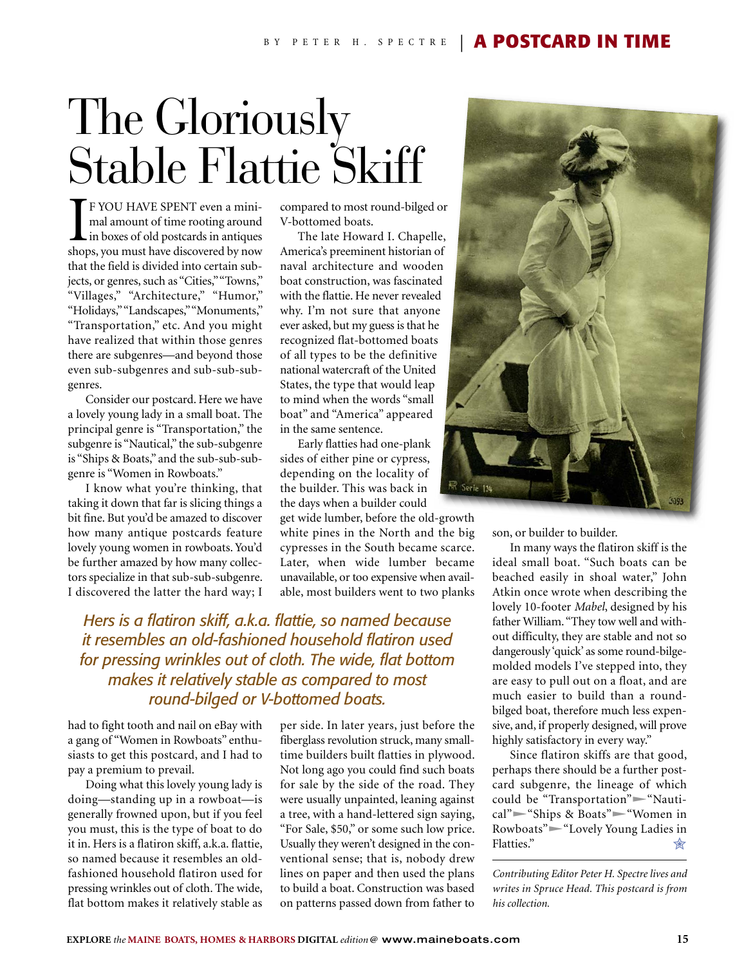## The Gloriously Stable Flattie Skiff

I<br>shop F YOU HAVE SPENT even a minimal amount of time rooting around in boxes of old postcards in antiques shops, you must have discovered by now that the field is divided into certain subjects, or genres, such as "Cities," "Towns," "Villages," "Architecture," "Humor," "Holidays," "Landscapes," "Monuments," "Transportation," etc. And you might have realized that within those genres there are subgenres—and beyond those even sub-subgenres and sub-sub-subgenres.

Consider our postcard. Here we have a lovely young lady in a small boat. The principal genre is "Transportation," the subgenre is "Nautical," the sub-subgenre is "Ships & Boats," and the sub-sub-subgenre is "Women in Rowboats."

I know what you're thinking, that taking it down that far is slicing things a bit fine. But you'd be amazed to discover how many antique postcards feature lovely young women in rowboats. You'd be further amazed by how many collectors specialize in that sub-sub-subgenre. I discovered the latter the hard way; I

compared to most round-bilged or V-bottomed boats.

The late Howard I. Chapelle, America's preeminent historian of naval architecture and wooden boat construction, was fascinated with the flattie. He never revealed why. I'm not sure that anyone ever asked, but my guess is that he recognized flat-bottomed boats of all types to be the definitive national watercraft of the United States, the type that would leap to mind when the words "small boat" and "America" appeared in the same sentence.

Early flatties had one-plank sides of either pine or cypress, depending on the locality of the builder. This was back in the days when a builder could

get wide lumber, before the old-growth white pines in the North and the big cypresses in the South became scarce. Later, when wide lumber became unavailable, or too expensive when available, most builders went to two planks

*Hers is a flatiron skiff, a.k.a. flattie, so named because it resembles an old-fashioned household flatiron used for pressing wrinkles out of cloth. The wide, flat bottom makes it relatively stable as compared to most round-bilged or V-bottomed boats.*

had to fight tooth and nail on eBay with a gang of "Women in Rowboats" enthusiasts to get this postcard, and I had to pay a premium to prevail.

Doing what this lovely young lady is doing—standing up in a rowboat—is generally frowned upon, but if you feel you must, this is the type of boat to do it in. Hers is a flatiron skiff, a.k.a. flattie, so named because it resembles an oldfashioned household flatiron used for pressing wrinkles out of cloth. The wide, flat bottom makes it relatively stable as

per side. In later years, just before the fiberglass revolution struck, many smalltime builders built flatties in plywood. Not long ago you could find such boats for sale by the side of the road. They were usually unpainted, leaning against a tree, with a hand-lettered sign saying, "For Sale, \$50," or some such low price. Usually they weren't designed in the conventional sense; that is, nobody drew lines on paper and then used the plans to build a boat. Construction was based on patterns passed down from father to



son, or builder to builder.

In many ways the flatiron skiff is the ideal small boat. "Such boats can be beached easily in shoal water," John Atkin once wrote when describing the lovely 10-footer *Mabel*, designed by his father William. "They tow well and without difficulty, they are stable and not so dangerously 'quick' as some round-bilgemolded models I've stepped into, they are easy to pull out on a float, and are much easier to build than a roundbilged boat, therefore much less expensive, and, if properly designed, will prove highly satisfactory in every way."

Since flatiron skiffs are that good, perhaps there should be a further postcard subgenre, the lineage of which could be "Transportation"<sup>-</sup>Nautical"<sup>-</sup>"Ships & Boats"<sup>-"</sup>Women in Rowboats"-"Lovely Young Ladies in Flatties." ✮

*Contributing Editor Peter H. Spectre lives and writes in Spruce Head. This postcard is from his collection.*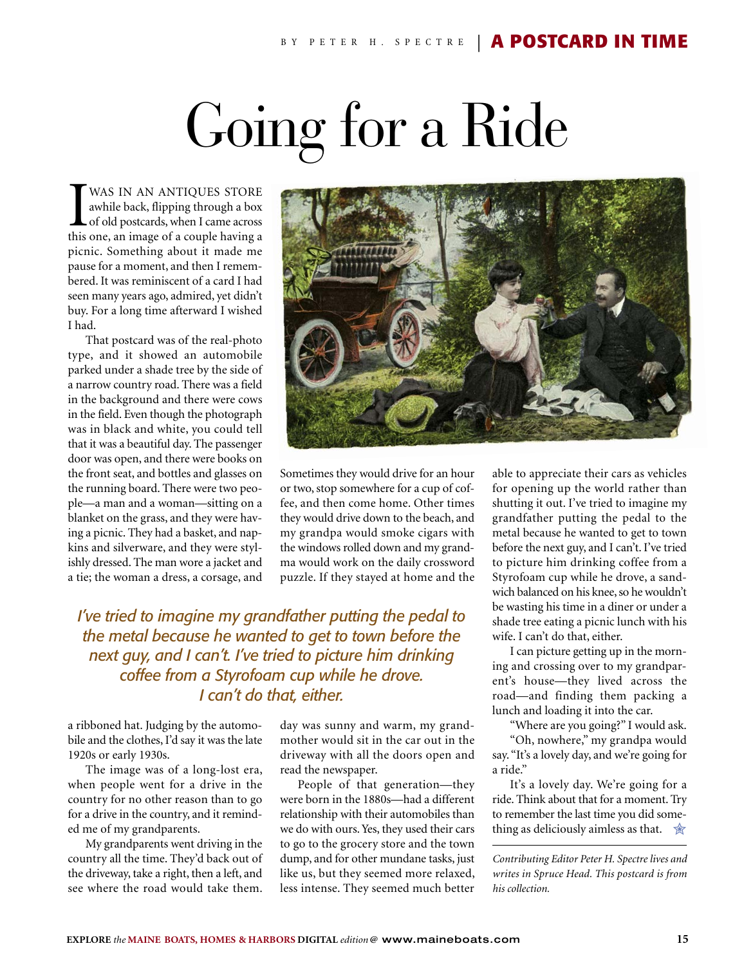## Going for a Ride

WAS IN AN ANTIQUES STORE<br>awhile back, flipping through a box<br>of old postcards, when I came across<br>this one, an image of a couple having a WAS IN AN ANTIQUES STORE awhile back, flipping through a box **L** of old postcards, when I came across picnic. Something about it made me pause for a moment, and then I remembered. It was reminiscent of a card I had seen many years ago, admired, yet didn't buy. For a long time afterward I wished I had.

That postcard was of the real-photo type, and it showed an automobile parked under a shade tree by the side of a narrow country road. There was a field in the background and there were cows in the field. Even though the photograph was in black and white, you could tell that it was a beautiful day. The passenger door was open, and there were books on the front seat, and bottles and glasses on the running board. There were two people—a man and a woman—sitting on a blanket on the grass, and they were having a picnic. They had a basket, and napkins and silverware, and they were stylishly dressed. The man wore a jacket and a tie; the woman a dress, a corsage, and



Sometimes they would drive for an hour or two, stop somewhere for a cup of coffee, and then come home. Other times they would drive down to the beach, and my grandpa would smoke cigars with the windows rolled down and my grandma would work on the daily crossword puzzle. If they stayed at home and the

*I've tried to imagine my grandfather putting the pedal to the metal because he wanted to get to town before the next guy, and I can't. I've tried to picture him drinking coffee from a Styrofoam cup while he drove. I can't do that, either.*

a ribboned hat. Judging by the automobile and the clothes, I'd say it was the late 1920s or early 1930s.

The image was of a long-lost era, when people went for a drive in the country for no other reason than to go for a drive in the country, and it reminded me of my grandparents.

My grandparents went driving in the country all the time. They'd back out of the driveway, take a right, then a left, and see where the road would take them.

day was sunny and warm, my grandmother would sit in the car out in the driveway with all the doors open and read the newspaper.

People of that generation—they were born in the 1880s—had a different relationship with their automobiles than we do with ours. Yes, they used their cars to go to the grocery store and the town dump, and for other mundane tasks, just like us, but they seemed more relaxed, less intense. They seemed much better

able to appreciate their cars as vehicles for opening up the world rather than shutting it out. I've tried to imagine my grandfather putting the pedal to the metal because he wanted to get to town before the next guy, and I can't. I've tried to picture him drinking coffee from a Styrofoam cup while he drove, a sandwich balanced on his knee, so he wouldn't be wasting his time in a diner or under a shade tree eating a picnic lunch with his wife. I can't do that, either.

I can picture getting up in the morning and crossing over to my grandparent's house—they lived across the road—and finding them packing a lunch and loading it into the car.

"Where are you going?" I would ask.

"Oh, nowhere," my grandpa would say. "It's a lovely day, and we're going for a ride."

It's a lovely day. We're going for a ride. Think about that for a moment. Try to remember the last time you did something as deliciously aimless as that.  $\mathcal{R}$ 

*Contributing Editor Peter H. Spectre lives and writes in Spruce Head. This postcard is from his collection.*